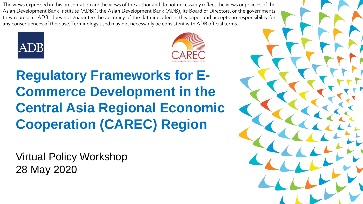The views expressed in this presentation are the views of the author and do not necessarily reflect the views or policies of the Asian Development Bank Institute (ADBI), the Asian Development Bank (ADB), its Board of Directors, or the governments they represent. ADBI does not guarantee the accuracy of the data included in this paper and accepts no responsibility for any consequences of their use. Terminology used may not necessarily be consistent with ADB official terms.





### **Regulatory Frameworks for E-Commerce Development in the Central Asia Regional Economic Cooperation (CAREC) Region**

Virtual Policy Workshop 28 May 2020

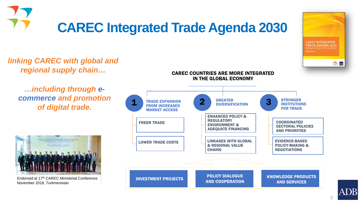

## **CAREC INTEGRATED TRADE AGENDA 2030 Asic ADB**

*regional supply chain… …including through ecommerce and promotion of digital trade.*



*linking CAREC with global and* 

Endorsed at 17th CAREC Ministerial Conference November 2018, Turkmenistan



CAREC COUNTRIES ARE MORE INTEGRATED



2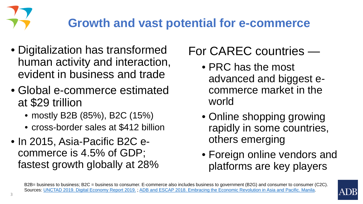### **Growth and vast potential for e-commerce**

- Digitalization has transformed human activity and interaction, evident in business and trade
- Global e-commerce estimated at \$29 trillion
	- mostly B2B (85%), B2C (15%)
	- cross-border sales at \$412 billion
- In 2015, Asia-Pacific B2C ecommerce is 4.5% of GDP; fastest growth globally at 28%

### For CAREC countries —

- PRC has the most advanced and biggest ecommerce market in the world
- Online shopping growing rapidly in some countries, others emerging
- Foreign online vendors and platforms are key players



B2B= business to business; B2C = business to consumer. E-commerce also includes business to government (B2G) and consumer to consumer (C2C). Sources: [UNCTAD 2019. Digital Economy Report 2019.](https://unctad.org/en/pages/PublicationWebflyer.aspx?publicationid=2466) ; [ADB and ESCAP 2018. Embracing the Economic Revolution in Asia and Pacific. Manila](https://www.adb.org/sites/default/files/publication/430401/embracing-e-commerce-revolution.pdf).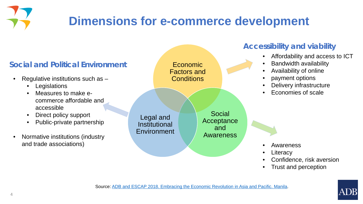### **Dimensions for e-commerce development**

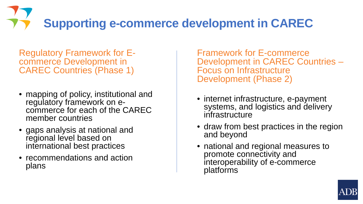# **Supporting e-commerce development in CAREC**

Regulatory Framework for E- commerce Development in CAREC Countries (Phase 1)

- mapping of policy, institutional and<br>• regulatory framework on ecommerce for each of the CAREC member countries
- gaps analysis at national and regional level based on international best practices
- recommendations and action plans

Framework for E-commerce Development in CAREC Countries – Focus on Infrastructure Development (Phase 2)

- internet infrastructure, e-payment systems, and logistics and delivery infrastructure
- draw from best practices in the region and beyond
- national and regional measures to promote connectivity and interoperability of e-commerce platforms

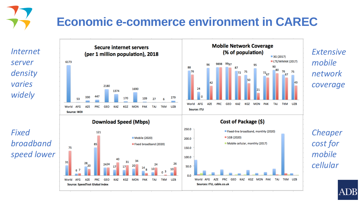## **Economic e-commerce environment in CAREC**

*Internet server density varies widely*

*Fixed broadband speed lower* 







KAZ KGZ MON PAK

**TAJ** 

TKM UZB

World AFG

**AZE** 

Sources: ITU, cable.co.uk

**PRC** 

GEO

*coverage*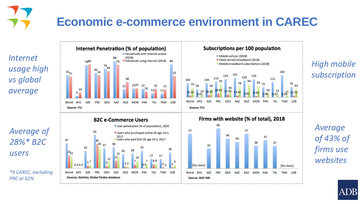## **Economic e-commerce environment in CAREC**

*Internet usage high vs global average*

*Average of 28%\* B2C users* 

*\*9 CAREC, excluding PRC at 62%*



*High mobile subscription*

*Average of 43% of firms use websites*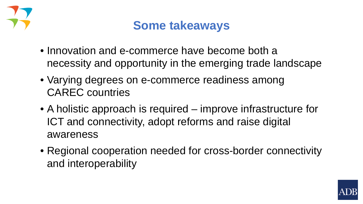

### **Some takeaways**

- Innovation and e-commerce have become both a necessity and opportunity in the emerging trade landscape
- Varying degrees on e-commerce readiness among CAREC countries
- A holistic approach is required improve infrastructure for ICT and connectivity, adopt reforms and raise digital awareness
- Regional cooperation needed for cross-border connectivity and interoperability